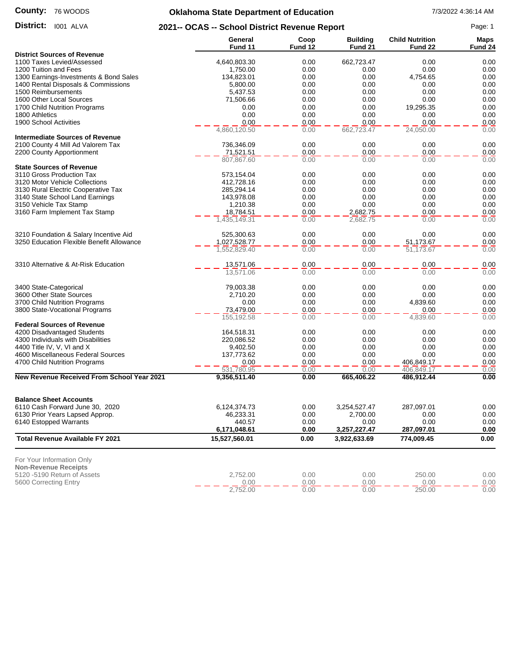#### **County:** 76 WOODS

# **Oklahoma State Department of Education** 7/3/2022 4:36:14 AM

District: 1001 ALVA

**District:** 1001 ALVA **2021-- OCAS -- School District Revenue Report** Page: 1

|                                                                             | General<br>Fund 11   | Coop<br>Fund 12 | <b>Building</b><br>Fund 21 | <b>Child Nutrition</b><br>Fund 22 | <b>Maps</b><br>Fund 24 |
|-----------------------------------------------------------------------------|----------------------|-----------------|----------------------------|-----------------------------------|------------------------|
| <b>District Sources of Revenue</b>                                          |                      |                 |                            |                                   |                        |
| 1100 Taxes Levied/Assessed                                                  | 4,640,803.30         | 0.00            | 662,723.47                 | 0.00                              | 0.00                   |
| 1200 Tuition and Fees                                                       | 1,750.00             | 0.00            | 0.00                       | 0.00                              | 0.00                   |
| 1300 Earnings-Investments & Bond Sales                                      | 134,823.01           | 0.00            | 0.00                       | 4,754.65                          | 0.00                   |
| 1400 Rental Disposals & Commissions                                         | 5,800.00             | 0.00            | 0.00                       | 0.00                              | 0.00                   |
| 1500 Reimbursements                                                         | 5,437.53             | 0.00            | 0.00                       | 0.00                              | 0.00                   |
| 1600 Other Local Sources                                                    | 71,506.66            | 0.00            | 0.00                       | 0.00                              | 0.00                   |
| 1700 Child Nutrition Programs                                               | 0.00                 | 0.00            | 0.00                       | 19,295.35                         | 0.00                   |
| 1800 Athletics                                                              | 0.00                 | 0.00            | 0.00                       | 0.00                              | 0.00                   |
| 1900 School Activities                                                      | 0.00<br>4,860,120.50 | 0.00            | 0.00                       | 0.00                              | 0.00<br>0.00           |
|                                                                             |                      | 0.00            | 662,723.47                 | 24,050.00                         |                        |
| <b>Intermediate Sources of Revenue</b><br>2100 County 4 Mill Ad Valorem Tax | 736,346.09           | 0.00            | 0.00                       | 0.00                              | 0.00                   |
| 2200 County Apportionment                                                   | 71,521.51            | 0.00            | 0.00                       | 0.00                              | 0.00                   |
|                                                                             | 807,867.60           | 0.00            | 0.00                       | 0.00                              | 0.00                   |
| <b>State Sources of Revenue</b>                                             |                      |                 |                            |                                   |                        |
| 3110 Gross Production Tax                                                   | 573,154.04           | 0.00            | 0.00                       | 0.00                              | 0.00                   |
| 3120 Motor Vehicle Collections                                              | 412,728.16           | 0.00            | 0.00                       | 0.00                              | 0.00                   |
| 3130 Rural Electric Cooperative Tax                                         | 285,294.14           | 0.00            | 0.00                       | 0.00                              | 0.00                   |
| 3140 State School Land Earnings                                             | 143,978.08           | 0.00            | 0.00                       | 0.00                              | 0.00                   |
| 3150 Vehicle Tax Stamp                                                      | 1,210.38             | 0.00            | 0.00                       | 0.00                              | 0.00                   |
| 3160 Farm Implement Tax Stamp                                               | 18,784.51            | 0.00            | 2,682.75                   | 0.00                              | 0.00                   |
|                                                                             | 1,435,149.31         | 0.00            | 2,682.75                   | 0.00                              | 0.00                   |
|                                                                             |                      |                 |                            |                                   |                        |
| 3210 Foundation & Salary Incentive Aid                                      | 525,300.63           | 0.00            | 0.00                       | 0.00                              | 0.00                   |
| 3250 Education Flexible Benefit Allowance                                   | 1,027,528.77         | 0.00            | 0.00                       | 51,173.67                         | 0.00                   |
|                                                                             | 1,552,829.40         | 0.00            | 0.00                       | $\overline{51,173.67}$            | 0.00                   |
| 3310 Alternative & At-Risk Education                                        | 13,571.06            | 0.00            | 0.00                       | 0.00                              | 0.00                   |
|                                                                             | 13,571.06            | 0.00            | 0.00                       | 0.00                              | 0.00                   |
| 3400 State-Categorical                                                      | 79,003.38            | 0.00            | 0.00                       | 0.00                              | 0.00                   |
| 3600 Other State Sources                                                    | 2,710.20             | 0.00            | 0.00                       | 0.00                              | 0.00                   |
| 3700 Child Nutrition Programs                                               | 0.00                 | 0.00            | 0.00                       | 4,839.60                          | 0.00                   |
| 3800 State-Vocational Programs                                              | 73,479.00            | 0.00            | 0.00                       | 0.00                              | 0.00                   |
|                                                                             | 155, 192.58          | 0.00            | 0.00                       | 4,839.60                          | 0.00                   |
| <b>Federal Sources of Revenue</b>                                           |                      |                 |                            |                                   |                        |
| 4200 Disadvantaged Students                                                 | 164,518.31           | 0.00            | 0.00                       | 0.00                              | 0.00                   |
| 4300 Individuals with Disabilities                                          | 220,086.52           | 0.00            | 0.00                       | 0.00                              | 0.00                   |
| 4400 Title IV, V, VI and X                                                  | 9,402.50             | 0.00            | 0.00                       | 0.00                              | 0.00                   |
| 4600 Miscellaneous Federal Sources                                          | 137,773.62           | 0.00            | 0.00                       | 0.00                              | 0.00                   |
| 4700 Child Nutrition Programs                                               | 0.00                 | 0.00            | 0.00                       | 406,849.17                        | 0.00                   |
|                                                                             | 531,780.95           | 0.00            | 0.00                       | 406,849.17                        | 0.00                   |
| <b>New Revenue Received From School Year 2021</b>                           | 9,356,511.40         | 0.00            | 665,406.22                 | 486,912.44                        | 0.00                   |
| <b>Balance Sheet Accounts</b>                                               |                      |                 |                            |                                   |                        |
| 6110 Cash Forward June 30, 2020                                             | 6,124,374.73         | 0.00            | 3,254,527.47               | 287,097.01                        | 0.00                   |
| 6130 Prior Years Lapsed Approp.                                             | 46,233.31            | 0.00            | 2,700.00                   | 0.00                              | 0.00                   |
| 6140 Estopped Warrants                                                      | 440.57               | 0.00            | 0.00                       | 0.00                              | 0.00                   |
|                                                                             | 6,171,048.61         | 0.00            | 3,257,227.47               | 287,097.01                        | 0.00                   |
| <b>Total Revenue Available FY 2021</b>                                      | 15,527,560.01        | 0.00            | 3,922,633.69               | 774,009.45                        | 0.00                   |
|                                                                             |                      |                 |                            |                                   |                        |
| For Your Information Only<br><b>Non-Revenue Receipts</b>                    |                      |                 |                            |                                   |                        |
| 5120 -5190 Return of Assets                                                 | 2,752.00             | 0.00            | 0.00                       | 250.00                            | 0.00                   |
| 5600 Correcting Entry                                                       | 0.00                 | 0.00            | 0.00                       | 0.00                              | 0.00                   |
|                                                                             | 2,752.00             | 0.00            | 0.00                       | 250.00                            | 0.00                   |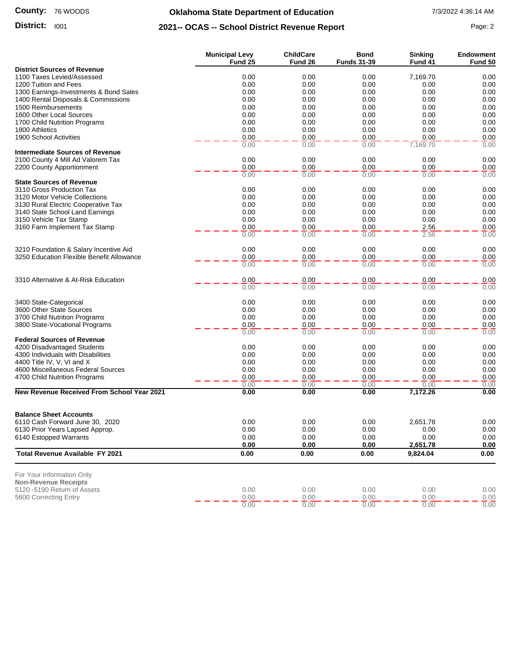#### **County:** 76 WOODS

### **Oklahoma State Department of Education** 7/3/2022 4:36:14 AM

## **District:** 1001 **Page: 2 2021-- OCAS -- School District Revenue Report** Page: 2

|                                                                  | <b>Municipal Levy</b> | <b>ChildCare</b> | <b>Bond</b>        | <b>Sinking</b> | <b>Endowment</b> |
|------------------------------------------------------------------|-----------------------|------------------|--------------------|----------------|------------------|
|                                                                  | Fund 25               | Fund 26          | <b>Funds 31-39</b> | Fund 41        | Fund 50          |
| <b>District Sources of Revenue</b><br>1100 Taxes Levied/Assessed | 0.00                  | 0.00             | 0.00               | 7,169.70       | 0.00             |
| 1200 Tuition and Fees                                            | 0.00                  | 0.00             | 0.00               | 0.00           | 0.00             |
| 1300 Earnings-Investments & Bond Sales                           | 0.00                  | 0.00             | 0.00               | 0.00           | 0.00             |
| 1400 Rental Disposals & Commissions                              | 0.00                  | 0.00             | 0.00               | 0.00           | 0.00             |
| 1500 Reimbursements                                              | 0.00                  | 0.00             | 0.00               | 0.00           | 0.00             |
| 1600 Other Local Sources                                         | 0.00                  | 0.00             | 0.00               | 0.00           | 0.00             |
| 1700 Child Nutrition Programs                                    | 0.00                  | 0.00             | 0.00               | 0.00           | 0.00             |
| 1800 Athletics                                                   | 0.00                  | 0.00             | 0.00               | 0.00           | 0.00             |
| 1900 School Activities                                           | 0.00                  | 0.00             | 0.00               | 0.00           | 0.00             |
|                                                                  | 0.00                  | 0.00             | 0.00               | 7,169.70       | 0.00             |
| <b>Intermediate Sources of Revenue</b>                           |                       |                  |                    |                |                  |
| 2100 County 4 Mill Ad Valorem Tax                                | 0.00                  | 0.00             | 0.00               | 0.00           | 0.00             |
| 2200 County Apportionment                                        | 0.00                  | 0.00             | 0.00               | 0.00           | 0.00             |
|                                                                  | 0.00                  | 0.00             | 0.00               | 0.00           | 0.00             |
| <b>State Sources of Revenue</b><br>3110 Gross Production Tax     | 0.00                  | 0.00             | 0.00               | 0.00           | 0.00             |
| 3120 Motor Vehicle Collections                                   | 0.00                  | 0.00             | 0.00               | 0.00           | 0.00             |
| 3130 Rural Electric Cooperative Tax                              | 0.00                  | 0.00             | 0.00               | 0.00           | 0.00             |
| 3140 State School Land Earnings                                  | 0.00                  | 0.00             | 0.00               | 0.00           | 0.00             |
| 3150 Vehicle Tax Stamp                                           | 0.00                  | 0.00             | 0.00               | 0.00           | 0.00             |
| 3160 Farm Implement Tax Stamp                                    | 0.00                  | 0.00             | 0.00               | 2.56           | 0.00             |
|                                                                  | 0.00                  | 0.00             | 0.00               | 2.56           | 0.00             |
| 3210 Foundation & Salary Incentive Aid                           | 0.00                  | 0.00             | 0.00               | 0.00           | 0.00             |
| 3250 Education Flexible Benefit Allowance                        | 0.00                  | 0.00             | 0.00               | 0.00           | 0.00             |
|                                                                  | 0.00                  | 0.00             | 0.00               | 0.00           | 0.00             |
| 3310 Alternative & At-Risk Education                             | 0.00                  | 0.00             | 0.00               | 0.00           | 0.00             |
|                                                                  | 0.00                  | 0.00             | 0.00               | 0.00           | 0.00             |
| 3400 State-Categorical                                           | 0.00                  | 0.00             | 0.00               | 0.00           | 0.00             |
| 3600 Other State Sources                                         | 0.00                  | 0.00             | 0.00               | 0.00           | 0.00             |
| 3700 Child Nutrition Programs                                    | 0.00                  | 0.00             | 0.00               | 0.00           | 0.00             |
| 3800 State-Vocational Programs                                   | 0.00                  | 0.00             | 0.00               | 0.00           | 0.00             |
|                                                                  | 0.00                  | 0.00             | 0.00               | 0.00           | 0.00             |
| <b>Federal Sources of Revenue</b>                                |                       |                  |                    |                |                  |
| 4200 Disadvantaged Students                                      | 0.00                  | 0.00             | 0.00               | 0.00           | 0.00             |
| 4300 Individuals with Disabilities                               | 0.00                  | 0.00             | 0.00               | 0.00           | 0.00             |
| 4400 Title IV, V, VI and X                                       | 0.00                  | 0.00             | 0.00               | 0.00           | 0.00             |
| 4600 Miscellaneous Federal Sources                               | 0.00<br>0.00          | 0.00<br>0.00     | 0.00<br>0.00       | 0.00<br>0.00   | 0.00<br>0.00     |
| 4700 Child Nutrition Programs                                    | 0.00                  | 0.00             | 0.00               | 0.00           | 0.00             |
| New Revenue Received From School Year 2021                       | 0.00                  | 0.00             | 0.00               | 7,172.26       | 0.00             |
|                                                                  |                       |                  |                    |                |                  |
| <b>Balance Sheet Accounts</b>                                    |                       |                  |                    |                |                  |
| 6110 Cash Forward June 30, 2020                                  | 0.00                  | 0.00             | 0.00               | 2,651.78       | 0.00             |
| 6130 Prior Years Lapsed Approp.                                  | 0.00                  | 0.00             | 0.00               | 0.00           | 0.00             |
| 6140 Estopped Warrants                                           | 0.00                  | 0.00             | 0.00               | 0.00           | 0.00             |
|                                                                  | 0.00                  | 0.00             | 0.00               | 2,651.78       | 0.00             |
| <b>Total Revenue Available FY 2021</b>                           | 0.00                  | 0.00             | 0.00               | 9,824.04       | 0.00             |
| For Your Information Only                                        |                       |                  |                    |                |                  |
| <b>Non-Revenue Receipts</b>                                      |                       |                  |                    |                |                  |
| 5120 -5190 Return of Assets                                      | 0.00                  | 0.00             | 0.00               | 0.00           | 0.00             |
| 5600 Correcting Entry                                            | 0.00                  | 0.00             | 0.00               | 0.00           | 0.00             |

0.00 0.00 0.00 0.00 0.00